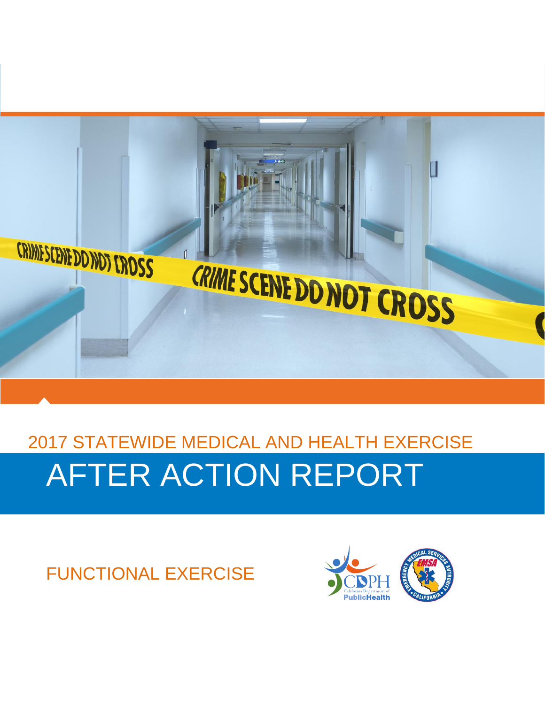

# 2017 STATEWIDE MEDICAL AND HEALTH EXERCISE AFTER ACTION REPORT

FUNCTIONAL EXERCISE

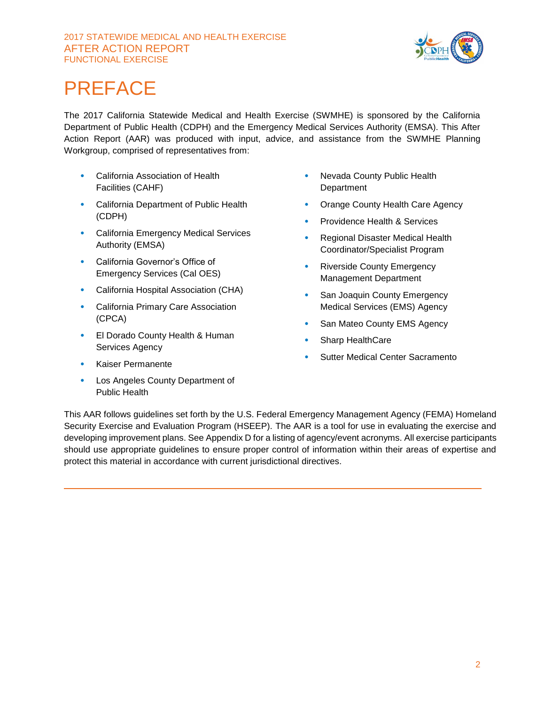#### 2017 STATEWIDE MEDICAL AND HEALTH EXERCISE AFTER ACTION REPORT FUNCTIONAL EXERCISE



## PREFACE

The 2017 California Statewide Medical and Health Exercise (SWMHE) is sponsored by the California Department of Public Health (CDPH) and the Emergency Medical Services Authority (EMSA). This After Action Report (AAR) was produced with input, advice, and assistance from the SWMHE Planning Workgroup, comprised of representatives from:

- California Association of Health Facilities (CAHF)
- California Department of Public Health (CDPH)
- California Emergency Medical Services Authority (EMSA)
- California Governor's Office of Emergency Services (Cal OES)
- California Hospital Association (CHA)
- California Primary Care Association (CPCA)
- El Dorado County Health & Human Services Agency
- Kaiser Permanente
- Los Angeles County Department of Public Health
- Nevada County Public Health **Department**
- Orange County Health Care Agency
- Providence Health & Services
- Regional Disaster Medical Health Coordinator/Specialist Program
- Riverside County Emergency Management Department
- San Joaquin County Emergency Medical Services (EMS) Agency
- San Mateo County EMS Agency
- Sharp HealthCare
- Sutter Medical Center Sacramento

This AAR follows guidelines set forth by the U.S. Federal Emergency Management Agency (FEMA) Homeland Security Exercise and Evaluation Program (HSEEP). The AAR is a tool for use in evaluating the exercise and developing improvement plans. See Appendix D for a listing of agency/event acronyms. All exercise participants should use appropriate guidelines to ensure proper control of information within their areas of expertise and protect this material in accordance with current jurisdictional directives.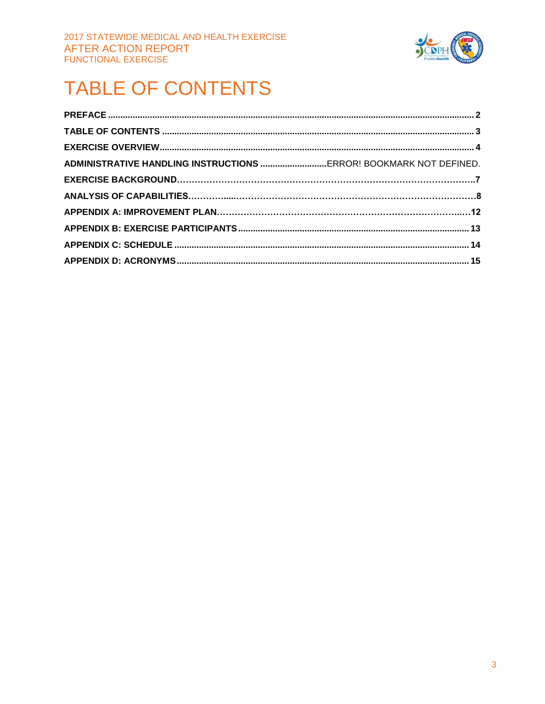

## **TABLE OF CONTENTS**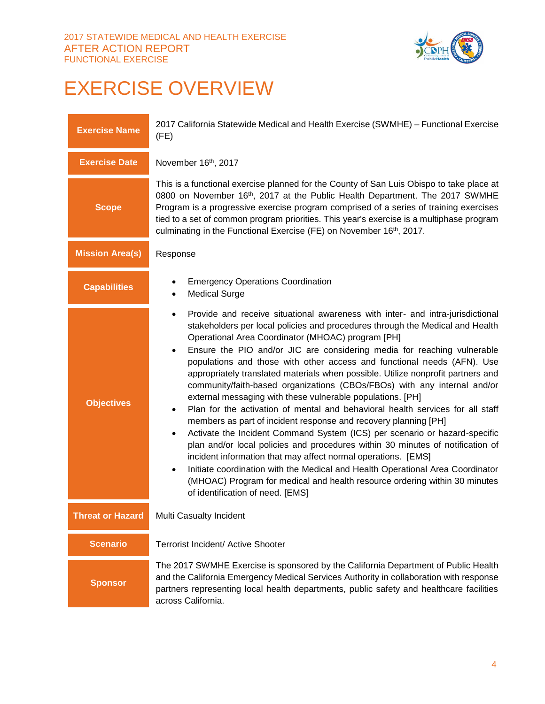

## EXERCISE OVERVIEW

| <b>Exercise Name</b>    | 2017 California Statewide Medical and Health Exercise (SWMHE) - Functional Exercise<br>(FE)                                                                                                                                                                                                                                                                                                                                                                                                                                                                                                                                                                                                                                                                                                                                                                                                                                                                                                                                                                                                                                                                                                                                                                 |  |  |
|-------------------------|-------------------------------------------------------------------------------------------------------------------------------------------------------------------------------------------------------------------------------------------------------------------------------------------------------------------------------------------------------------------------------------------------------------------------------------------------------------------------------------------------------------------------------------------------------------------------------------------------------------------------------------------------------------------------------------------------------------------------------------------------------------------------------------------------------------------------------------------------------------------------------------------------------------------------------------------------------------------------------------------------------------------------------------------------------------------------------------------------------------------------------------------------------------------------------------------------------------------------------------------------------------|--|--|
| <b>Exercise Date</b>    | November 16th, 2017                                                                                                                                                                                                                                                                                                                                                                                                                                                                                                                                                                                                                                                                                                                                                                                                                                                                                                                                                                                                                                                                                                                                                                                                                                         |  |  |
| <b>Scope</b>            | This is a functional exercise planned for the County of San Luis Obispo to take place at<br>0800 on November 16th, 2017 at the Public Health Department. The 2017 SWMHE<br>Program is a progressive exercise program comprised of a series of training exercises<br>tied to a set of common program priorities. This year's exercise is a multiphase program<br>culminating in the Functional Exercise (FE) on November 16th, 2017.                                                                                                                                                                                                                                                                                                                                                                                                                                                                                                                                                                                                                                                                                                                                                                                                                         |  |  |
| <b>Mission Area(s)</b>  | Response                                                                                                                                                                                                                                                                                                                                                                                                                                                                                                                                                                                                                                                                                                                                                                                                                                                                                                                                                                                                                                                                                                                                                                                                                                                    |  |  |
| <b>Capabilities</b>     | <b>Emergency Operations Coordination</b><br><b>Medical Surge</b><br>$\bullet$                                                                                                                                                                                                                                                                                                                                                                                                                                                                                                                                                                                                                                                                                                                                                                                                                                                                                                                                                                                                                                                                                                                                                                               |  |  |
| <b>Objectives</b>       | Provide and receive situational awareness with inter- and intra-jurisdictional<br>$\bullet$<br>stakeholders per local policies and procedures through the Medical and Health<br>Operational Area Coordinator (MHOAC) program [PH]<br>Ensure the PIO and/or JIC are considering media for reaching vulnerable<br>$\bullet$<br>populations and those with other access and functional needs (AFN). Use<br>appropriately translated materials when possible. Utilize nonprofit partners and<br>community/faith-based organizations (CBOs/FBOs) with any internal and/or<br>external messaging with these vulnerable populations. [PH]<br>Plan for the activation of mental and behavioral health services for all staff<br>$\bullet$<br>members as part of incident response and recovery planning [PH]<br>Activate the Incident Command System (ICS) per scenario or hazard-specific<br>$\bullet$<br>plan and/or local policies and procedures within 30 minutes of notification of<br>incident information that may affect normal operations. [EMS]<br>Initiate coordination with the Medical and Health Operational Area Coordinator<br>٠<br>(MHOAC) Program for medical and health resource ordering within 30 minutes<br>of identification of need. [EMS] |  |  |
| <b>Threat or Hazard</b> | Multi Casualty Incident                                                                                                                                                                                                                                                                                                                                                                                                                                                                                                                                                                                                                                                                                                                                                                                                                                                                                                                                                                                                                                                                                                                                                                                                                                     |  |  |
| <b>Scenario</b>         | Terrorist Incident/ Active Shooter                                                                                                                                                                                                                                                                                                                                                                                                                                                                                                                                                                                                                                                                                                                                                                                                                                                                                                                                                                                                                                                                                                                                                                                                                          |  |  |
| <b>Sponsor</b>          | The 2017 SWMHE Exercise is sponsored by the California Department of Public Health<br>and the California Emergency Medical Services Authority in collaboration with response<br>partners representing local health departments, public safety and healthcare facilities<br>across California.                                                                                                                                                                                                                                                                                                                                                                                                                                                                                                                                                                                                                                                                                                                                                                                                                                                                                                                                                               |  |  |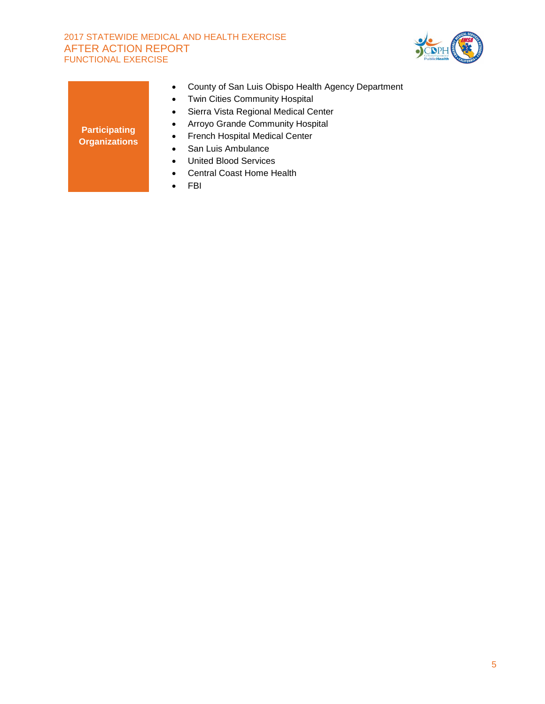#### 2017 STATEWIDE MEDICAL AND HEALTH EXERCISE AFTER ACTION REPORT FUNCTIONAL EXERCISE



| <b>Participating</b><br><b>Organizations</b> | County of San Luis Obispo Health Agency Department<br>$\bullet$<br><b>Twin Cities Community Hospital</b><br>$\bullet$<br>Sierra Vista Regional Medical Center<br>$\bullet$<br>Arroyo Grande Community Hospital<br>$\bullet$<br>French Hospital Medical Center<br>٠<br>San Luis Ambulance<br>٠<br>United Blood Services<br>$\bullet$<br>Central Coast Home Health<br>٠<br>FBI<br>٠ |
|----------------------------------------------|-----------------------------------------------------------------------------------------------------------------------------------------------------------------------------------------------------------------------------------------------------------------------------------------------------------------------------------------------------------------------------------|
|                                              |                                                                                                                                                                                                                                                                                                                                                                                   |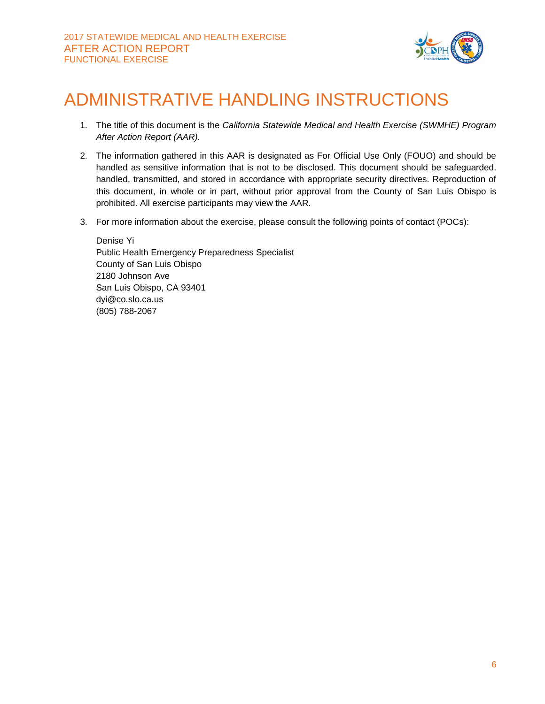

## ADMINISTRATIVE HANDLING INSTRUCTIONS

- 1. The title of this document is the *California Statewide Medical and Health Exercise (SWMHE) Program After Action Report (AAR).*
- 2. The information gathered in this AAR is designated as For Official Use Only (FOUO) and should be handled as sensitive information that is not to be disclosed. This document should be safeguarded, handled, transmitted, and stored in accordance with appropriate security directives. Reproduction of this document, in whole or in part, without prior approval from the County of San Luis Obispo is prohibited. All exercise participants may view the AAR.
- 3. For more information about the exercise, please consult the following points of contact (POCs):

Denise Yi Public Health Emergency Preparedness Specialist County of San Luis Obispo 2180 Johnson Ave San Luis Obispo, CA 93401 dyi@co.slo.ca.us (805) 788-2067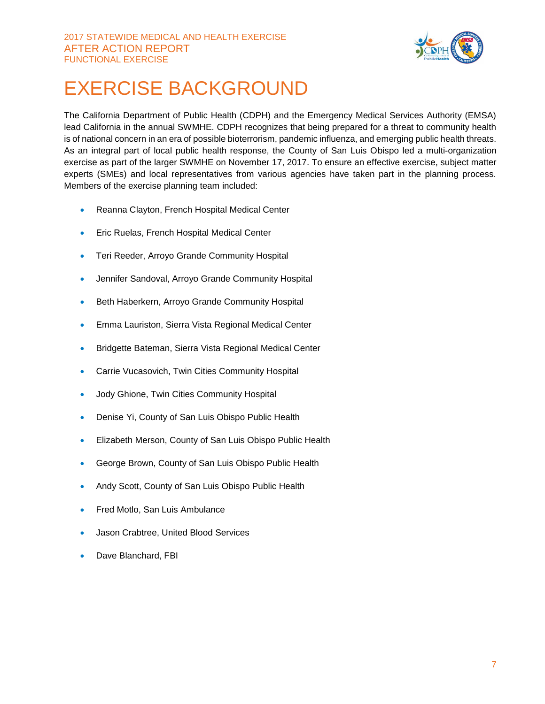

## EXERCISE BACKGROUND

The California Department of Public Health (CDPH) and the Emergency Medical Services Authority (EMSA) lead California in the annual SWMHE. CDPH recognizes that being prepared for a threat to community health is of national concern in an era of possible bioterrorism, pandemic influenza, and emerging public health threats. As an integral part of local public health response, the County of San Luis Obispo led a multi-organization exercise as part of the larger SWMHE on November 17, 2017. To ensure an effective exercise, subject matter experts (SMEs) and local representatives from various agencies have taken part in the planning process. Members of the exercise planning team included:

- Reanna Clayton, French Hospital Medical Center
- **Eric Ruelas, French Hospital Medical Center**
- Teri Reeder, Arroyo Grande Community Hospital
- Jennifer Sandoval, Arroyo Grande Community Hospital
- Beth Haberkern, Arroyo Grande Community Hospital
- Emma Lauriston, Sierra Vista Regional Medical Center
- **Bridgette Bateman, Sierra Vista Regional Medical Center**
- Carrie Vucasovich, Twin Cities Community Hospital
- Jody Ghione, Twin Cities Community Hospital
- Denise Yi, County of San Luis Obispo Public Health
- Elizabeth Merson, County of San Luis Obispo Public Health
- George Brown, County of San Luis Obispo Public Health
- Andy Scott, County of San Luis Obispo Public Health
- Fred Motlo, San Luis Ambulance
- Jason Crabtree, United Blood Services
- Dave Blanchard, FBI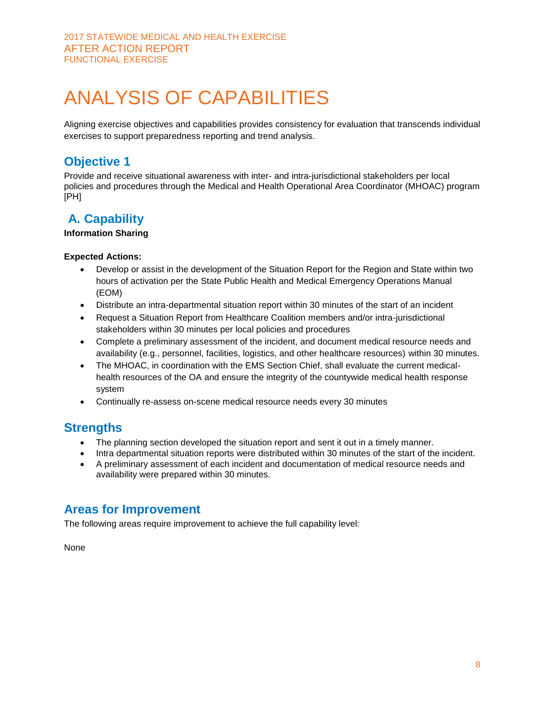Aligning exercise objectives and capabilities provides consistency for evaluation that transcends individual exercises to support preparedness reporting and trend analysis.

### **Objective 1**

Provide and receive situational awareness with inter- and intra-jurisdictional stakeholders per local policies and procedures through the Medical and Health Operational Area Coordinator (MHOAC) program [PH]

## **A. Capability**

#### **Information Sharing**

#### **Expected Actions:**

- Develop or assist in the development of the Situation Report for the Region and State within two hours of activation per the State Public Health and Medical Emergency Operations Manual (EOM)
- Distribute an intra-departmental situation report within 30 minutes of the start of an incident
- Request a Situation Report from Healthcare Coalition members and/or intra-jurisdictional stakeholders within 30 minutes per local policies and procedures
- Complete a preliminary assessment of the incident, and document medical resource needs and availability (e.g., personnel, facilities, logistics, and other healthcare resources) within 30 minutes.
- The MHOAC, in coordination with the EMS Section Chief, shall evaluate the current medicalhealth resources of the OA and ensure the integrity of the countywide medical health response system
- Continually re-assess on-scene medical resource needs every 30 minutes

### **Strengths**

- The planning section developed the situation report and sent it out in a timely manner.
- Intra departmental situation reports were distributed within 30 minutes of the start of the incident.
- A preliminary assessment of each incident and documentation of medical resource needs and availability were prepared within 30 minutes.

### **Areas for Improvement**

The following areas require improvement to achieve the full capability level:

None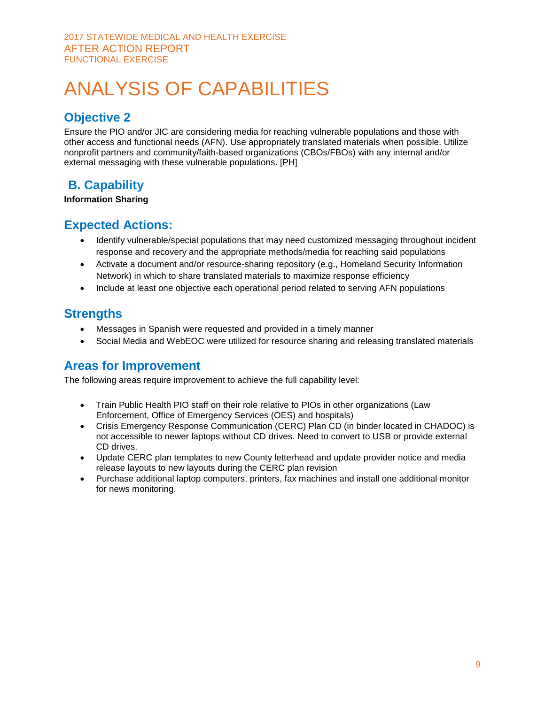## **Objective 2**

Ensure the PIO and/or JIC are considering media for reaching vulnerable populations and those with other access and functional needs (AFN). Use appropriately translated materials when possible. Utilize nonprofit partners and community/faith-based organizations (CBOs/FBOs) with any internal and/or external messaging with these vulnerable populations. [PH]

## **B. Capability**

#### **Information Sharing**

### **Expected Actions:**

- Identify vulnerable/special populations that may need customized messaging throughout incident response and recovery and the appropriate methods/media for reaching said populations
- Activate a document and/or resource-sharing repository (e.g., Homeland Security Information Network) in which to share translated materials to maximize response efficiency
- Include at least one objective each operational period related to serving AFN populations

### **Strengths**

- Messages in Spanish were requested and provided in a timely manner
- Social Media and WebEOC were utilized for resource sharing and releasing translated materials

### **Areas for Improvement**

The following areas require improvement to achieve the full capability level:

- Train Public Health PIO staff on their role relative to PIOs in other organizations (Law Enforcement, Office of Emergency Services (OES) and hospitals)
- Crisis Emergency Response Communication (CERC) Plan CD (in binder located in CHADOC) is not accessible to newer laptops without CD drives. Need to convert to USB or provide external CD drives.
- Update CERC plan templates to new County letterhead and update provider notice and media release layouts to new layouts during the CERC plan revision
- Purchase additional laptop computers, printers, fax machines and install one additional monitor for news monitoring.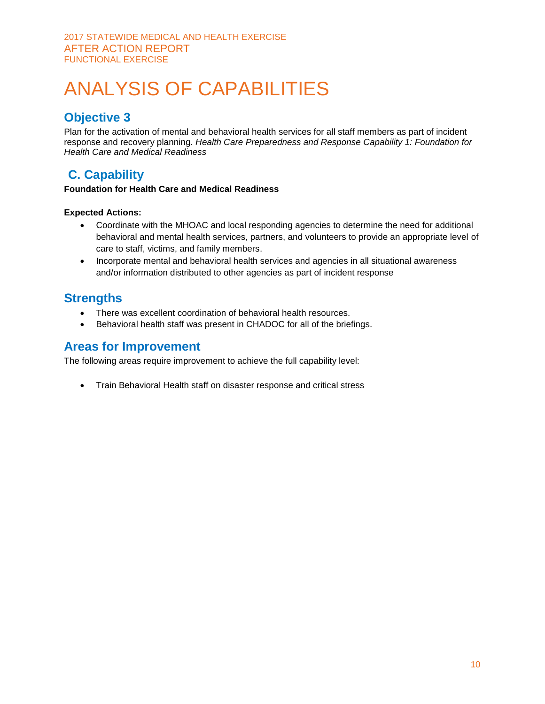## **Objective 3**

Plan for the activation of mental and behavioral health services for all staff members as part of incident response and recovery planning. *Health Care Preparedness and Response Capability 1: Foundation for Health Care and Medical Readiness*

## **C. Capability**

#### **Foundation for Health Care and Medical Readiness**

#### **Expected Actions:**

- Coordinate with the MHOAC and local responding agencies to determine the need for additional behavioral and mental health services, partners, and volunteers to provide an appropriate level of care to staff, victims, and family members.
- Incorporate mental and behavioral health services and agencies in all situational awareness and/or information distributed to other agencies as part of incident response

### **Strengths**

- There was excellent coordination of behavioral health resources.
- Behavioral health staff was present in CHADOC for all of the briefings.

### **Areas for Improvement**

The following areas require improvement to achieve the full capability level:

• Train Behavioral Health staff on disaster response and critical stress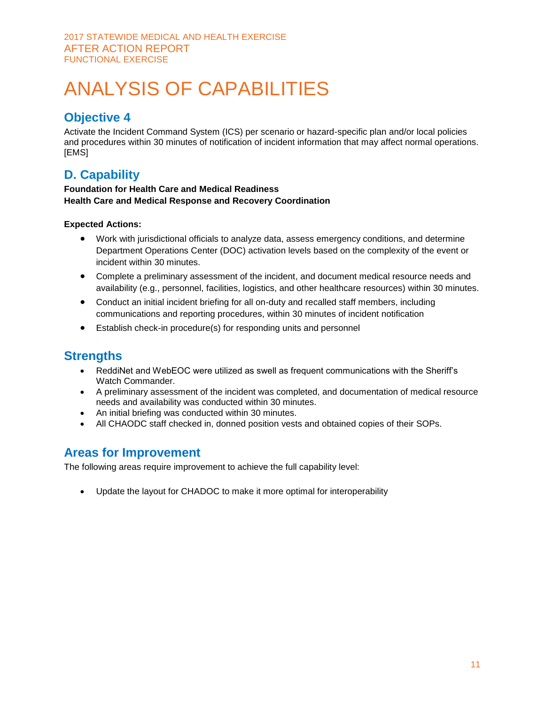### **Objective 4**

Activate the Incident Command System (ICS) per scenario or hazard-specific plan and/or local policies and procedures within 30 minutes of notification of incident information that may affect normal operations. [EMS]

## **D. Capability**

#### **Foundation for Health Care and Medical Readiness Health Care and Medical Response and Recovery Coordination**

#### **Expected Actions:**

- Work with jurisdictional officials to analyze data, assess emergency conditions, and determine Department Operations Center (DOC) activation levels based on the complexity of the event or incident within 30 minutes.
- Complete a preliminary assessment of the incident, and document medical resource needs and availability (e.g., personnel, facilities, logistics, and other healthcare resources) within 30 minutes.
- Conduct an initial incident briefing for all on-duty and recalled staff members, including communications and reporting procedures, within 30 minutes of incident notification
- Establish check-in procedure(s) for responding units and personnel

### **Strengths**

- ReddiNet and WebEOC were utilized as swell as frequent communications with the Sheriff's Watch Commander.
- A preliminary assessment of the incident was completed, and documentation of medical resource needs and availability was conducted within 30 minutes.
- An initial briefing was conducted within 30 minutes.
- All CHAODC staff checked in, donned position vests and obtained copies of their SOPs.

### **Areas for Improvement**

The following areas require improvement to achieve the full capability level:

Update the layout for CHADOC to make it more optimal for interoperability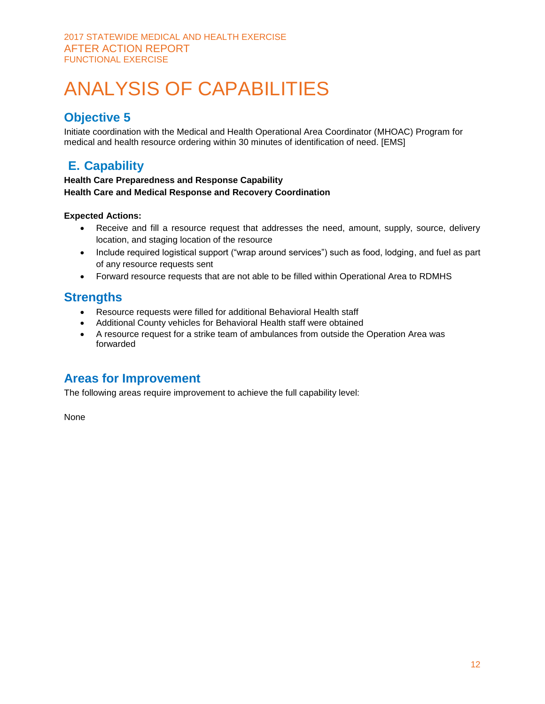## **Objective 5**

Initiate coordination with the Medical and Health Operational Area Coordinator (MHOAC) Program for medical and health resource ordering within 30 minutes of identification of need. [EMS]

## **E. Capability**

#### **Health Care Preparedness and Response Capability Health Care and Medical Response and Recovery Coordination**

#### **Expected Actions:**

- Receive and fill a resource request that addresses the need, amount, supply, source, delivery location, and staging location of the resource
- Include required logistical support ("wrap around services") such as food, lodging, and fuel as part of any resource requests sent
- Forward resource requests that are not able to be filled within Operational Area to RDMHS

### **Strengths**

- Resource requests were filled for additional Behavioral Health staff
- Additional County vehicles for Behavioral Health staff were obtained
- A resource request for a strike team of ambulances from outside the Operation Area was forwarded

### **Areas for Improvement**

The following areas require improvement to achieve the full capability level:

None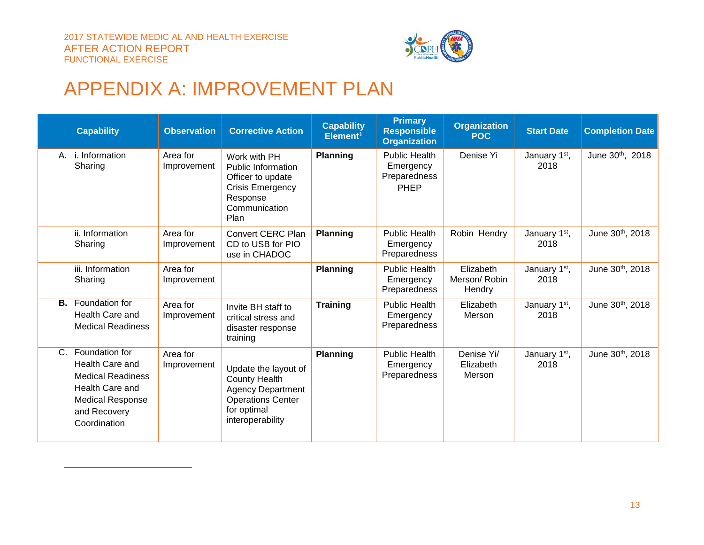$\overline{a}$ 



## APPENDIX A: IMPROVEMENT PLAN

|         | <b>Capability</b>                                                                                                                           | <b>Observation</b>      | <b>Corrective Action</b>                                                                                                                | <b>Capability</b><br>Element <sup>1</sup> | <b>Primary</b><br><b>Responsible</b><br><b>Organization</b> | <b>Organization</b><br><b>POC</b>   | <b>Start Date</b>                 | <b>Completion Date</b> |
|---------|---------------------------------------------------------------------------------------------------------------------------------------------|-------------------------|-----------------------------------------------------------------------------------------------------------------------------------------|-------------------------------------------|-------------------------------------------------------------|-------------------------------------|-----------------------------------|------------------------|
|         | A. <i>i.</i> Information<br>Sharing                                                                                                         | Area for<br>Improvement | Work with PH<br><b>Public Information</b><br>Officer to update<br><b>Crisis Emergency</b><br>Response<br>Communication<br>Plan          | <b>Planning</b>                           | <b>Public Health</b><br>Emergency<br>Preparedness<br>PHEP   | Denise Yi                           | January 1st,<br>2018              | June 30th, 2018        |
|         | ii. Information<br>Sharing                                                                                                                  | Area for<br>Improvement | Convert CERC Plan<br>CD to USB for PIO<br>use in CHADOC                                                                                 | <b>Planning</b>                           | <b>Public Health</b><br>Emergency<br>Preparedness           | Robin Hendry                        | January 1 <sup>st</sup> ,<br>2018 | June 30th, 2018        |
|         | iii. Information<br>Sharing                                                                                                                 | Area for<br>Improvement |                                                                                                                                         | <b>Planning</b>                           | <b>Public Health</b><br>Emergency<br>Preparedness           | Elizabeth<br>Merson/Robin<br>Hendry | January 1 <sup>st</sup> ,<br>2018 | June 30th, 2018        |
| В.      | Foundation for<br>Health Care and<br><b>Medical Readiness</b>                                                                               | Area for<br>Improvement | Invite BH staff to<br>critical stress and<br>disaster response<br>training                                                              | <b>Training</b>                           | <b>Public Health</b><br>Emergency<br>Preparedness           | Elizabeth<br>Merson                 | January 1 <sup>st</sup> ,<br>2018 | June 30th, 2018        |
| $C_{1}$ | Foundation for<br>Health Care and<br><b>Medical Readiness</b><br>Health Care and<br><b>Medical Response</b><br>and Recovery<br>Coordination | Area for<br>Improvement | Update the layout of<br><b>County Health</b><br><b>Agency Department</b><br><b>Operations Center</b><br>for optimal<br>interoperability | <b>Planning</b>                           | <b>Public Health</b><br>Emergency<br>Preparedness           | Denise Yi/<br>Elizabeth<br>Merson   | January 1 <sup>st</sup> ,<br>2018 | June 30th, 2018        |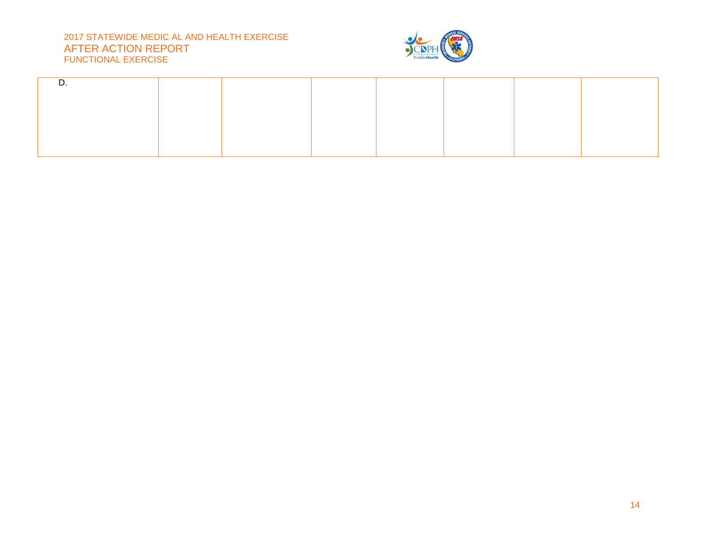#### 2017 STATEWIDE MEDIC AL AND HEALTH EXERCISE AFTER ACTION REPORT FUNCTIONAL EXERCISE

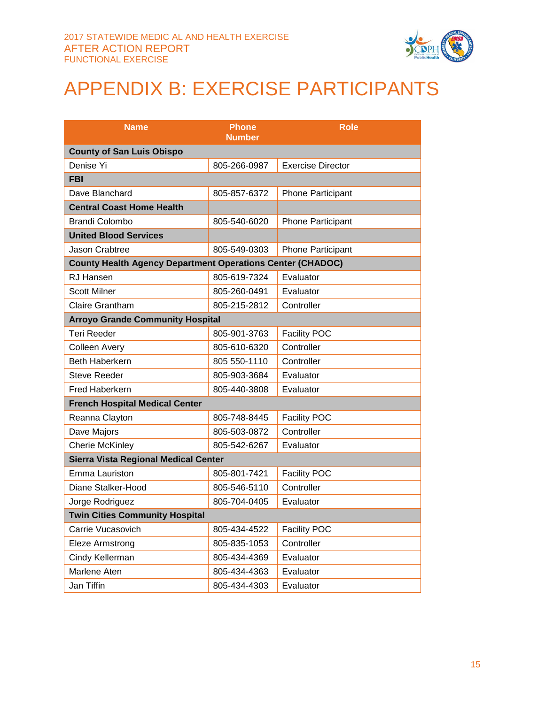

## APPENDIX B: EXERCISE PARTICIPANTS

| <b>Name</b>                                                       | <b>Phone</b><br><b>Number</b> | <b>Role</b>              |
|-------------------------------------------------------------------|-------------------------------|--------------------------|
| <b>County of San Luis Obispo</b>                                  |                               |                          |
| Denise Yi                                                         | 805-266-0987                  | <b>Exercise Director</b> |
| <b>FBI</b>                                                        |                               |                          |
| Dave Blanchard                                                    | 805-857-6372                  | <b>Phone Participant</b> |
| <b>Central Coast Home Health</b>                                  |                               |                          |
| <b>Brandi Colombo</b>                                             | 805-540-6020                  | <b>Phone Participant</b> |
| <b>United Blood Services</b>                                      |                               |                          |
| Jason Crabtree                                                    | 805-549-0303                  | <b>Phone Participant</b> |
| <b>County Health Agency Department Operations Center (CHADOC)</b> |                               |                          |
| <b>RJ Hansen</b>                                                  | 805-619-7324                  | Evaluator                |
| <b>Scott Milner</b>                                               | 805-260-0491                  | Evaluator                |
| <b>Claire Grantham</b>                                            | 805-215-2812                  | Controller               |
| <b>Arroyo Grande Community Hospital</b>                           |                               |                          |
| <b>Teri Reeder</b>                                                | 805-901-3763                  | <b>Facility POC</b>      |
| <b>Colleen Avery</b>                                              | 805-610-6320                  | Controller               |
| <b>Beth Haberkern</b>                                             | 805 550-1110                  | Controller               |
| <b>Steve Reeder</b>                                               | 805-903-3684                  | Evaluator                |
| <b>Fred Haberkern</b>                                             | 805-440-3808                  | Evaluator                |
| <b>French Hospital Medical Center</b>                             |                               |                          |
| Reanna Clayton                                                    | 805-748-8445                  | <b>Facility POC</b>      |
| Dave Majors                                                       | 805-503-0872                  | Controller               |
| Cherie McKinley                                                   | 805-542-6267                  | Evaluator                |
| Sierra Vista Regional Medical Center                              |                               |                          |
| Emma Lauriston                                                    | 805-801-7421                  | <b>Facility POC</b>      |
| Diane Stalker-Hood                                                | 805-546-5110                  | Controller               |
| Jorge Rodriguez                                                   | 805-704-0405                  | Evaluator                |
| <b>Twin Cities Community Hospital</b>                             |                               |                          |
| Carrie Vucasovich                                                 | 805-434-4522                  | <b>Facility POC</b>      |
| Eleze Armstrong                                                   | 805-835-1053                  | Controller               |
| Cindy Kellerman                                                   | 805-434-4369                  | Evaluator                |
| Marlene Aten                                                      | 805-434-4363                  | Evaluator                |
| Jan Tiffin                                                        | 805-434-4303                  | Evaluator                |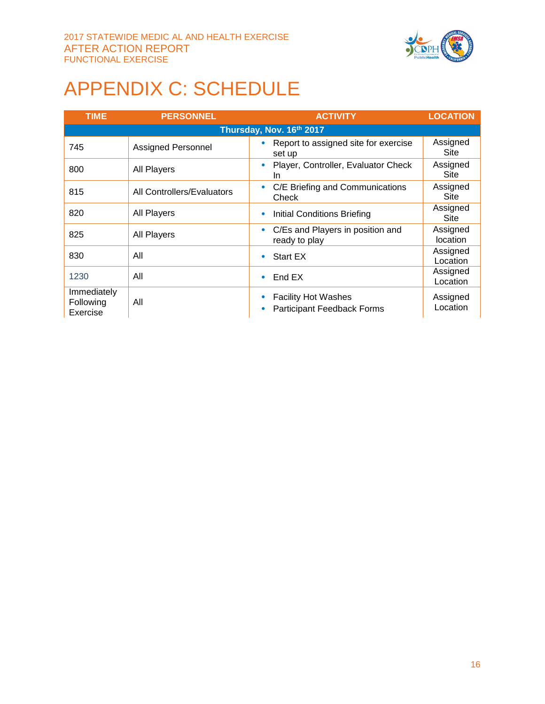

## APPENDIX C: SCHEDULE

| <b>TIME</b>                          | <b>PERSONNEL</b>           | <b>ACTIVITY</b>                                                 | <b>LOCATION</b>      |  |  |
|--------------------------------------|----------------------------|-----------------------------------------------------------------|----------------------|--|--|
|                                      | Thursday, Nov. 16th 2017   |                                                                 |                      |  |  |
| 745                                  | <b>Assigned Personnel</b>  | Report to assigned site for exercise<br>set up                  | Assigned<br>Site     |  |  |
| 800                                  | <b>All Players</b>         | Player, Controller, Evaluator Check<br>$\bullet$<br>In.         | Assigned<br>Site     |  |  |
| 815                                  | All Controllers/Evaluators | C/E Briefing and Communications<br>$\bullet$<br>Check           | Assigned<br>Site     |  |  |
| 820                                  | All Players                | Initial Conditions Briefing<br>۰                                | Assigned<br>Site     |  |  |
| 825                                  | <b>All Players</b>         | C/Es and Players in position and<br>$\bullet$<br>ready to play  | Assigned<br>location |  |  |
| 830                                  | All                        | <b>Start EX</b><br>٠                                            | Assigned<br>Location |  |  |
| 1230                                 | All                        | End EX<br>۰                                                     | Assigned<br>Location |  |  |
| Immediately<br>Following<br>Exercise | All                        | <b>Facility Hot Washes</b><br><b>Participant Feedback Forms</b> | Assigned<br>Location |  |  |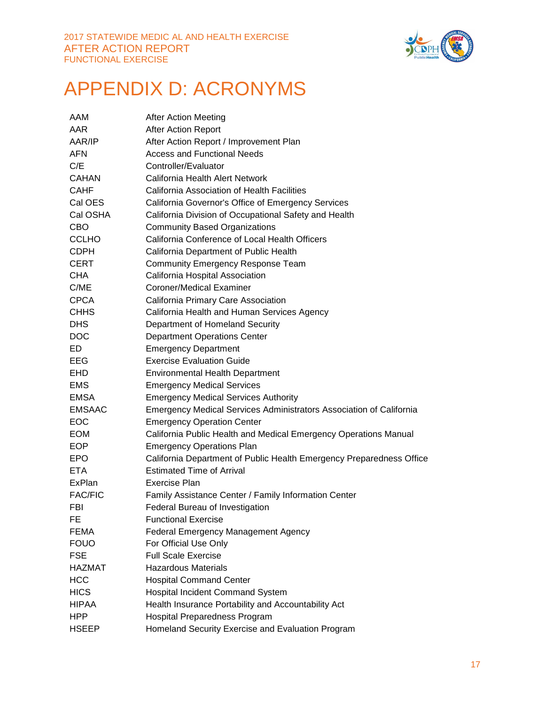

## APPENDIX D: ACRONYMS

| AAM            | <b>After Action Meeting</b>                                          |
|----------------|----------------------------------------------------------------------|
| AAR            | After Action Report                                                  |
| AAR/IP         | After Action Report / Improvement Plan                               |
| <b>AFN</b>     | <b>Access and Functional Needs</b>                                   |
| C/E            | Controller/Evaluator                                                 |
| <b>CAHAN</b>   | California Health Alert Network                                      |
| <b>CAHF</b>    | California Association of Health Facilities                          |
| Cal OES        | California Governor's Office of Emergency Services                   |
| Cal OSHA       | California Division of Occupational Safety and Health                |
| <b>CBO</b>     | <b>Community Based Organizations</b>                                 |
| <b>CCLHO</b>   | California Conference of Local Health Officers                       |
| <b>CDPH</b>    | California Department of Public Health                               |
| <b>CERT</b>    | <b>Community Emergency Response Team</b>                             |
| <b>CHA</b>     | California Hospital Association                                      |
| C/ME           | Coroner/Medical Examiner                                             |
| <b>CPCA</b>    | California Primary Care Association                                  |
| <b>CHHS</b>    | California Health and Human Services Agency                          |
| <b>DHS</b>     | Department of Homeland Security                                      |
| <b>DOC</b>     | <b>Department Operations Center</b>                                  |
| ED             | <b>Emergency Department</b>                                          |
| EEG            | <b>Exercise Evaluation Guide</b>                                     |
| EHD.           | <b>Environmental Health Department</b>                               |
| <b>EMS</b>     | <b>Emergency Medical Services</b>                                    |
| <b>EMSA</b>    | <b>Emergency Medical Services Authority</b>                          |
| <b>EMSAAC</b>  | Emergency Medical Services Administrators Association of California  |
| <b>EOC</b>     | <b>Emergency Operation Center</b>                                    |
| <b>EOM</b>     | California Public Health and Medical Emergency Operations Manual     |
| <b>EOP</b>     | <b>Emergency Operations Plan</b>                                     |
| <b>EPO</b>     | California Department of Public Health Emergency Preparedness Office |
| <b>ETA</b>     | <b>Estimated Time of Arrival</b>                                     |
| ExPlan         | <b>Exercise Plan</b>                                                 |
| <b>FAC/FIC</b> | Family Assistance Center / Family Information Center                 |
| <b>FBI</b>     | Federal Bureau of Investigation                                      |
| FE             | <b>Functional Exercise</b>                                           |
| <b>FEMA</b>    | <b>Federal Emergency Management Agency</b>                           |
| <b>FOUO</b>    | For Official Use Only                                                |
| <b>FSE</b>     | <b>Full Scale Exercise</b>                                           |
| HAZMAT         | <b>Hazardous Materials</b>                                           |
| <b>HCC</b>     | <b>Hospital Command Center</b>                                       |
| <b>HICS</b>    | Hospital Incident Command System                                     |
| <b>HIPAA</b>   | Health Insurance Portability and Accountability Act                  |
| <b>HPP</b>     | <b>Hospital Preparedness Program</b>                                 |
| <b>HSEEP</b>   | Homeland Security Exercise and Evaluation Program                    |